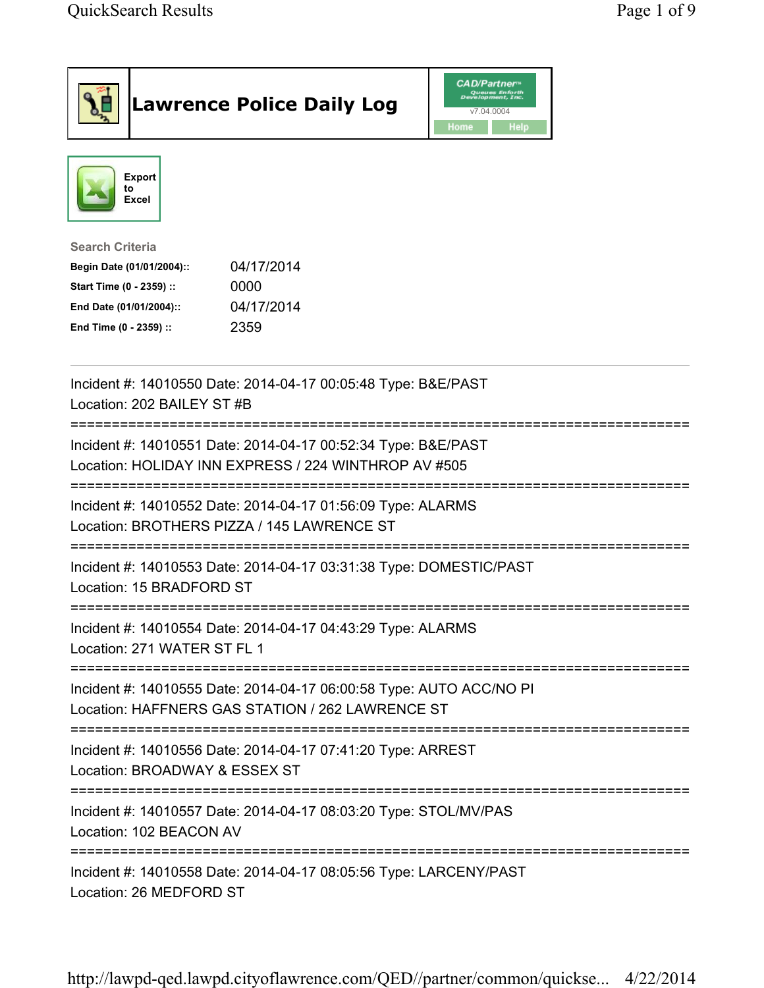|                                                                                                                                      | <b>Lawrence Police Daily Log</b>                                                                                        | <b>CAD/Partner</b> "<br>Queues Enforth<br>Development, Inc.<br>v7.04.0004<br>Home<br>Help |  |
|--------------------------------------------------------------------------------------------------------------------------------------|-------------------------------------------------------------------------------------------------------------------------|-------------------------------------------------------------------------------------------|--|
| <b>Export</b><br>to<br>Excel                                                                                                         |                                                                                                                         |                                                                                           |  |
| <b>Search Criteria</b><br>Begin Date (01/01/2004)::<br>Start Time (0 - 2359) ::<br>End Date (01/01/2004)::<br>End Time (0 - 2359) :: | 04/17/2014<br>0000<br>04/17/2014<br>2359                                                                                |                                                                                           |  |
| Location: 202 BAILEY ST #B                                                                                                           | Incident #: 14010550 Date: 2014-04-17 00:05:48 Type: B&E/PAST                                                           |                                                                                           |  |
|                                                                                                                                      | Incident #: 14010551 Date: 2014-04-17 00:52:34 Type: B&E/PAST<br>Location: HOLIDAY INN EXPRESS / 224 WINTHROP AV #505   |                                                                                           |  |
| Location: BROTHERS PIZZA / 145 LAWRENCE ST                                                                                           | Incident #: 14010552 Date: 2014-04-17 01:56:09 Type: ALARMS                                                             |                                                                                           |  |
| Location: 15 BRADFORD ST                                                                                                             | Incident #: 14010553 Date: 2014-04-17 03:31:38 Type: DOMESTIC/PAST                                                      |                                                                                           |  |
| Location: 271 WATER ST FL 1                                                                                                          | Incident #: 14010554 Date: 2014-04-17 04:43:29 Type: ALARMS                                                             |                                                                                           |  |
|                                                                                                                                      | Incident #: 14010555 Date: 2014-04-17 06:00:58 Type: AUTO ACC/NO PI<br>Location: HAFFNERS GAS STATION / 262 LAWRENCE ST |                                                                                           |  |
| Location: BROADWAY & ESSEX ST                                                                                                        | Incident #: 14010556 Date: 2014-04-17 07:41:20 Type: ARREST                                                             |                                                                                           |  |
| Incident #: 14010557 Date: 2014-04-17 08:03:20 Type: STOL/MV/PAS<br>Location: 102 BEACON AV                                          |                                                                                                                         |                                                                                           |  |
| Incident #: 14010558 Date: 2014-04-17 08:05:56 Type: LARCENY/PAST<br>Location: 26 MEDFORD ST                                         |                                                                                                                         |                                                                                           |  |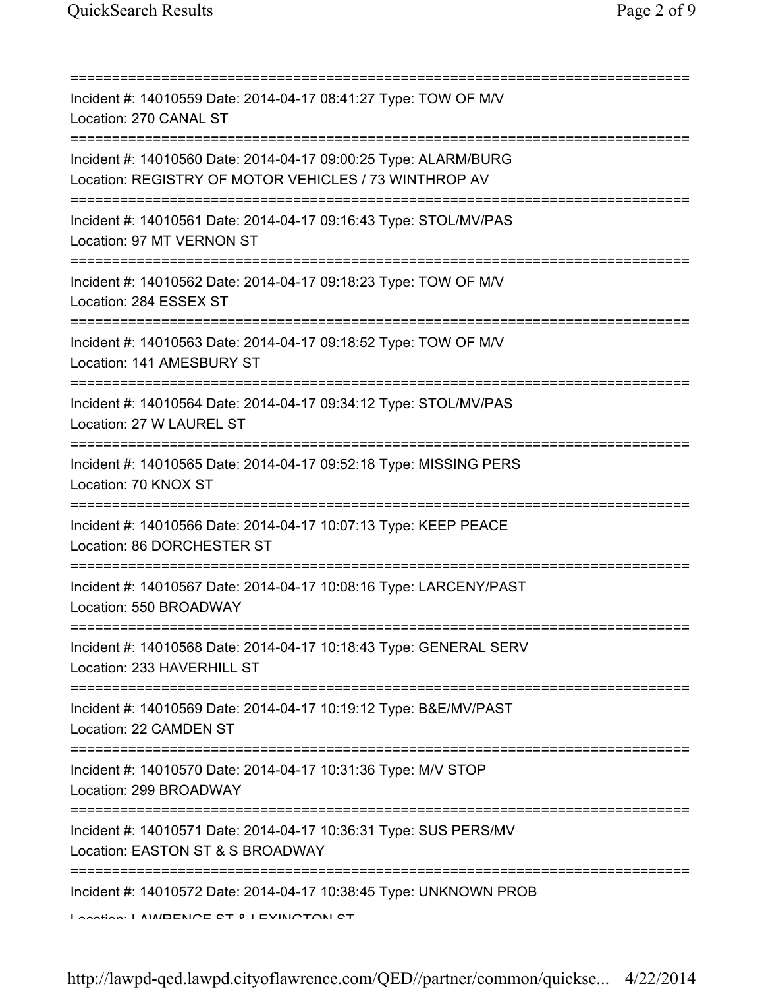| =============================                                                                                                         |
|---------------------------------------------------------------------------------------------------------------------------------------|
| Incident #: 14010559 Date: 2014-04-17 08:41:27 Type: TOW OF M/V<br>Location: 270 CANAL ST                                             |
| Incident #: 14010560 Date: 2014-04-17 09:00:25 Type: ALARM/BURG<br>Location: REGISTRY OF MOTOR VEHICLES / 73 WINTHROP AV              |
| Incident #: 14010561 Date: 2014-04-17 09:16:43 Type: STOL/MV/PAS<br>Location: 97 MT VERNON ST                                         |
| Incident #: 14010562 Date: 2014-04-17 09:18:23 Type: TOW OF M/V<br>Location: 284 ESSEX ST                                             |
| Incident #: 14010563 Date: 2014-04-17 09:18:52 Type: TOW OF M/V<br>Location: 141 AMESBURY ST<br>===============================       |
| Incident #: 14010564 Date: 2014-04-17 09:34:12 Type: STOL/MV/PAS<br>Location: 27 W LAUREL ST<br>===================================== |
| Incident #: 14010565 Date: 2014-04-17 09:52:18 Type: MISSING PERS<br>Location: 70 KNOX ST                                             |
| Incident #: 14010566 Date: 2014-04-17 10:07:13 Type: KEEP PEACE<br>Location: 86 DORCHESTER ST                                         |
| Incident #: 14010567 Date: 2014-04-17 10:08:16 Type: LARCENY/PAST<br>Location: 550 BROADWAY                                           |
| Incident #: 14010568 Date: 2014-04-17 10:18:43 Type: GENERAL SERV<br>Location: 233 HAVERHILL ST                                       |
| Incident #: 14010569 Date: 2014-04-17 10:19:12 Type: B&E/MV/PAST<br>Location: 22 CAMDEN ST                                            |
| Incident #: 14010570 Date: 2014-04-17 10:31:36 Type: M/V STOP<br>Location: 299 BROADWAY                                               |
| Incident #: 14010571 Date: 2014-04-17 10:36:31 Type: SUS PERS/MV<br>Location: EASTON ST & S BROADWAY                                  |
| Incident #: 14010572 Date: 2014-04-17 10:38:45 Type: UNKNOWN PROB<br>Anation: AMIDENICE CT 0   EVINICTON CT                           |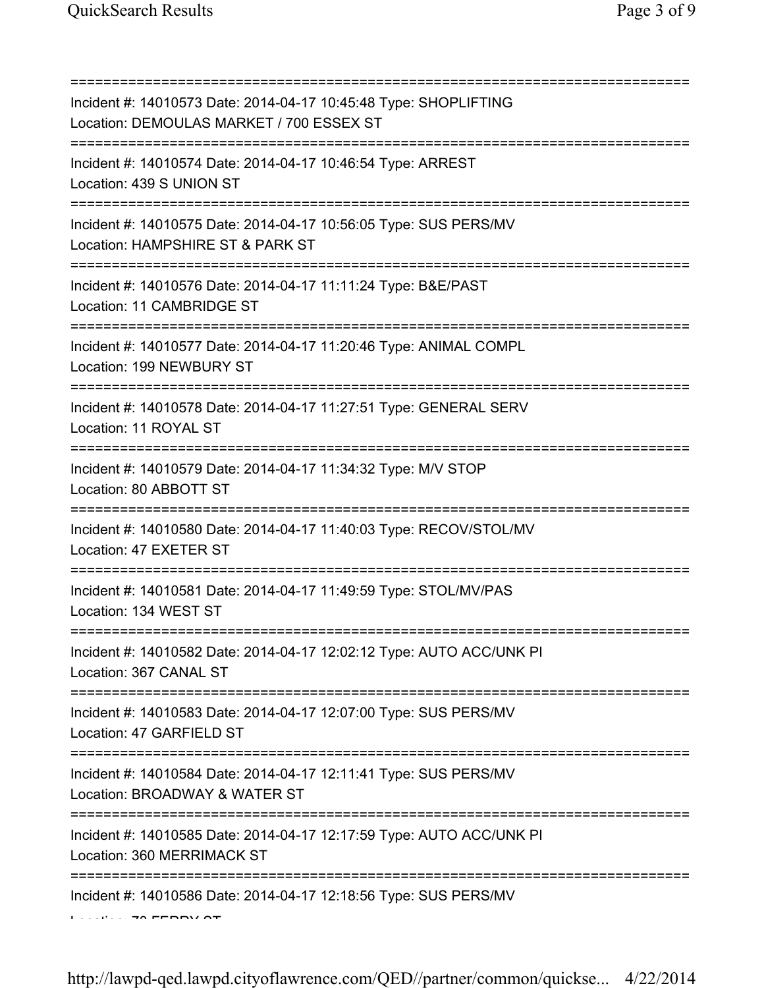=========================================================================== Incident #: 14010573 Date: 2014-04-17 10:45:48 Type: SHOPLIFTING Location: DEMOULAS MARKET / 700 ESSEX ST =========================================================================== Incident #: 14010574 Date: 2014-04-17 10:46:54 Type: ARREST Location: 439 S UNION ST =========================================================================== Incident #: 14010575 Date: 2014-04-17 10:56:05 Type: SUS PERS/MV Location: HAMPSHIRE ST & PARK ST =========================================================================== Incident #: 14010576 Date: 2014-04-17 11:11:24 Type: B&E/PAST Location: 11 CAMBRIDGE ST =========================================================================== Incident #: 14010577 Date: 2014-04-17 11:20:46 Type: ANIMAL COMPL Location: 199 NEWBURY ST =========================================================================== Incident #: 14010578 Date: 2014-04-17 11:27:51 Type: GENERAL SERV Location: 11 ROYAL ST =========================================================================== Incident #: 14010579 Date: 2014-04-17 11:34:32 Type: M/V STOP Location: 80 ABBOTT ST =========================================================================== Incident #: 14010580 Date: 2014-04-17 11:40:03 Type: RECOV/STOL/MV Location: 47 EXETER ST =========================================================================== Incident #: 14010581 Date: 2014-04-17 11:49:59 Type: STOL/MV/PAS Location: 134 WEST ST =========================================================================== Incident #: 14010582 Date: 2014-04-17 12:02:12 Type: AUTO ACC/UNK PI Location: 367 CANAL ST =========================================================================== Incident #: 14010583 Date: 2014-04-17 12:07:00 Type: SUS PERS/MV Location: 47 GARFIELD ST =========================================================================== Incident #: 14010584 Date: 2014-04-17 12:11:41 Type: SUS PERS/MV Location: BROADWAY & WATER ST =========================================================================== Incident #: 14010585 Date: 2014-04-17 12:17:59 Type: AUTO ACC/UNK PI Location: 360 MERRIMACK ST =========================================================================== Incident #: 14010586 Date: 2014-04-17 12:18:56 Type: SUS PERS/MV Location: 73 FERRY ST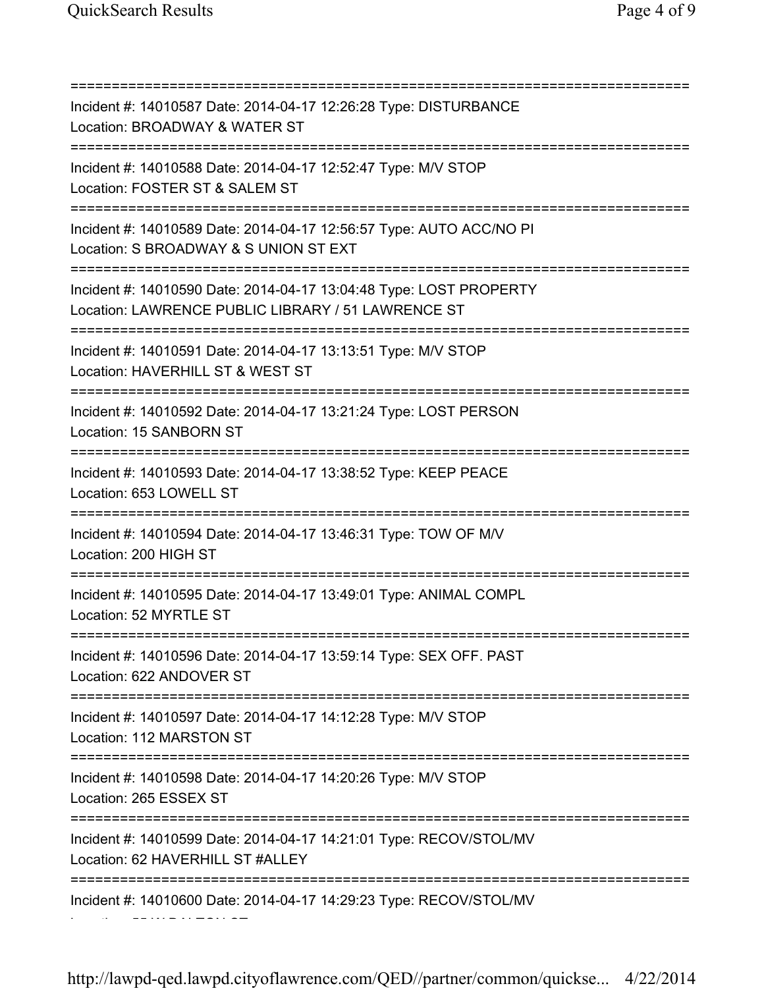=========================================================================== Incident #: 14010587 Date: 2014-04-17 12:26:28 Type: DISTURBANCE Location: BROADWAY & WATER ST =========================================================================== Incident #: 14010588 Date: 2014-04-17 12:52:47 Type: M/V STOP Location: FOSTER ST & SALEM ST =========================================================================== Incident #: 14010589 Date: 2014-04-17 12:56:57 Type: AUTO ACC/NO PI Location: S BROADWAY & S UNION ST EXT =========================================================================== Incident #: 14010590 Date: 2014-04-17 13:04:48 Type: LOST PROPERTY Location: LAWRENCE PUBLIC LIBRARY / 51 LAWRENCE ST =========================================================================== Incident #: 14010591 Date: 2014-04-17 13:13:51 Type: M/V STOP Location: HAVERHILL ST & WEST ST =========================================================================== Incident #: 14010592 Date: 2014-04-17 13:21:24 Type: LOST PERSON Location: 15 SANBORN ST =========================================================================== Incident #: 14010593 Date: 2014-04-17 13:38:52 Type: KEEP PEACE Location: 653 LOWELL ST =========================================================================== Incident #: 14010594 Date: 2014-04-17 13:46:31 Type: TOW OF M/V Location: 200 HIGH ST =========================================================================== Incident #: 14010595 Date: 2014-04-17 13:49:01 Type: ANIMAL COMPL Location: 52 MYRTLE ST =========================================================================== Incident #: 14010596 Date: 2014-04-17 13:59:14 Type: SEX OFF. PAST Location: 622 ANDOVER ST =========================================================================== Incident #: 14010597 Date: 2014-04-17 14:12:28 Type: M/V STOP Location: 112 MARSTON ST =========================================================================== Incident #: 14010598 Date: 2014-04-17 14:20:26 Type: M/V STOP Location: 265 ESSEX ST =========================================================================== Incident #: 14010599 Date: 2014-04-17 14:21:01 Type: RECOV/STOL/MV Location: 62 HAVERHILL ST #ALLEY =========================================================================== Incident #: 14010600 Date: 2014-04-17 14:29:23 Type: RECOV/STOL/MV Location: 55 W DALTON ST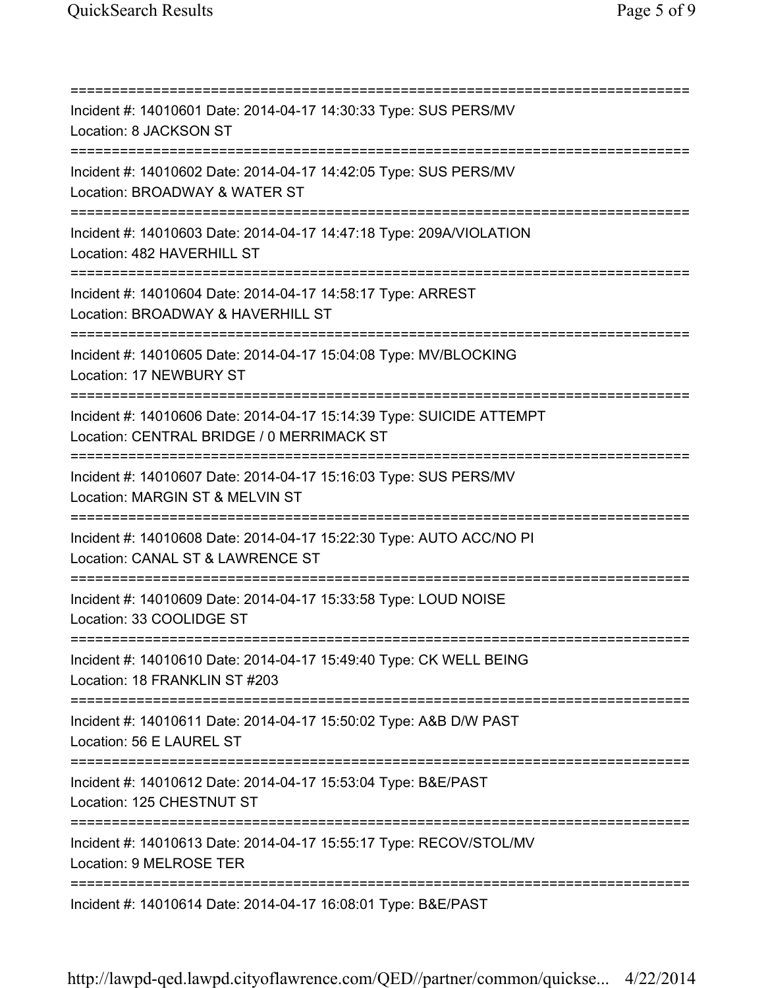| Incident #: 14010601 Date: 2014-04-17 14:30:33 Type: SUS PERS/MV<br>Location: 8 JACKSON ST                                                |
|-------------------------------------------------------------------------------------------------------------------------------------------|
| Incident #: 14010602 Date: 2014-04-17 14:42:05 Type: SUS PERS/MV<br>Location: BROADWAY & WATER ST                                         |
| Incident #: 14010603 Date: 2014-04-17 14:47:18 Type: 209A/VIOLATION<br>Location: 482 HAVERHILL ST<br>==================================== |
| Incident #: 14010604 Date: 2014-04-17 14:58:17 Type: ARREST<br>Location: BROADWAY & HAVERHILL ST                                          |
| Incident #: 14010605 Date: 2014-04-17 15:04:08 Type: MV/BLOCKING<br>Location: 17 NEWBURY ST                                               |
| Incident #: 14010606 Date: 2014-04-17 15:14:39 Type: SUICIDE ATTEMPT<br>Location: CENTRAL BRIDGE / 0 MERRIMACK ST                         |
| Incident #: 14010607 Date: 2014-04-17 15:16:03 Type: SUS PERS/MV<br>Location: MARGIN ST & MELVIN ST                                       |
| Incident #: 14010608 Date: 2014-04-17 15:22:30 Type: AUTO ACC/NO PI<br>Location: CANAL ST & LAWRENCE ST                                   |
| Incident #: 14010609 Date: 2014-04-17 15:33:58 Type: LOUD NOISE<br>Location: 33 COOLIDGE ST                                               |
| Incident #: 14010610 Date: 2014-04-17 15:49:40 Type: CK WELL BEING<br>Location: 18 FRANKLIN ST #203                                       |
| Incident #: 14010611 Date: 2014-04-17 15:50:02 Type: A&B D/W PAST<br>Location: 56 E LAUREL ST                                             |
| ============<br>Incident #: 14010612 Date: 2014-04-17 15:53:04 Type: B&E/PAST<br>Location: 125 CHESTNUT ST                                |
| Incident #: 14010613 Date: 2014-04-17 15:55:17 Type: RECOV/STOL/MV<br>Location: 9 MELROSE TER                                             |
| Incident #: 14010614 Date: 2014-04-17 16:08:01 Type: B&E/PAST                                                                             |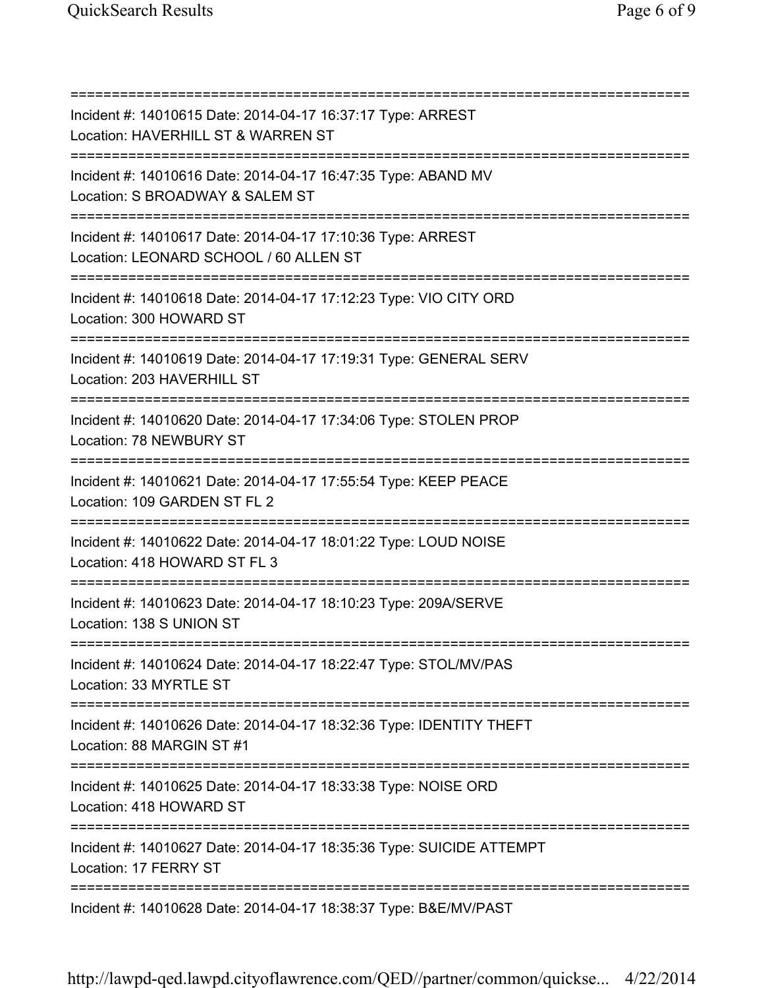| Incident #: 14010615 Date: 2014-04-17 16:37:17 Type: ARREST<br>Location: HAVERHILL ST & WARREN ST                                   |
|-------------------------------------------------------------------------------------------------------------------------------------|
| Incident #: 14010616 Date: 2014-04-17 16:47:35 Type: ABAND MV<br>Location: S BROADWAY & SALEM ST                                    |
| Incident #: 14010617 Date: 2014-04-17 17:10:36 Type: ARREST<br>Location: LEONARD SCHOOL / 60 ALLEN ST                               |
| Incident #: 14010618 Date: 2014-04-17 17:12:23 Type: VIO CITY ORD<br>Location: 300 HOWARD ST<br>=================================== |
| Incident #: 14010619 Date: 2014-04-17 17:19:31 Type: GENERAL SERV<br>Location: 203 HAVERHILL ST                                     |
| Incident #: 14010620 Date: 2014-04-17 17:34:06 Type: STOLEN PROP<br>Location: 78 NEWBURY ST                                         |
| Incident #: 14010621 Date: 2014-04-17 17:55:54 Type: KEEP PEACE<br>Location: 109 GARDEN ST FL 2                                     |
| Incident #: 14010622 Date: 2014-04-17 18:01:22 Type: LOUD NOISE<br>Location: 418 HOWARD ST FL 3                                     |
| Incident #: 14010623 Date: 2014-04-17 18:10:23 Type: 209A/SERVE<br>Location: 138 S UNION ST                                         |
| Incident #: 14010624 Date: 2014-04-17 18:22:47 Type: STOL/MV/PAS<br>Location: 33 MYRTLE ST                                          |
| Incident #: 14010626 Date: 2014-04-17 18:32:36 Type: IDENTITY THEFT<br>Location: 88 MARGIN ST #1                                    |
| Incident #: 14010625 Date: 2014-04-17 18:33:38 Type: NOISE ORD<br>Location: 418 HOWARD ST                                           |
| Incident #: 14010627 Date: 2014-04-17 18:35:36 Type: SUICIDE ATTEMPT<br>Location: 17 FERRY ST                                       |
| Incident #: 14010628 Date: 2014-04-17 18:38:37 Type: B&E/MV/PAST                                                                    |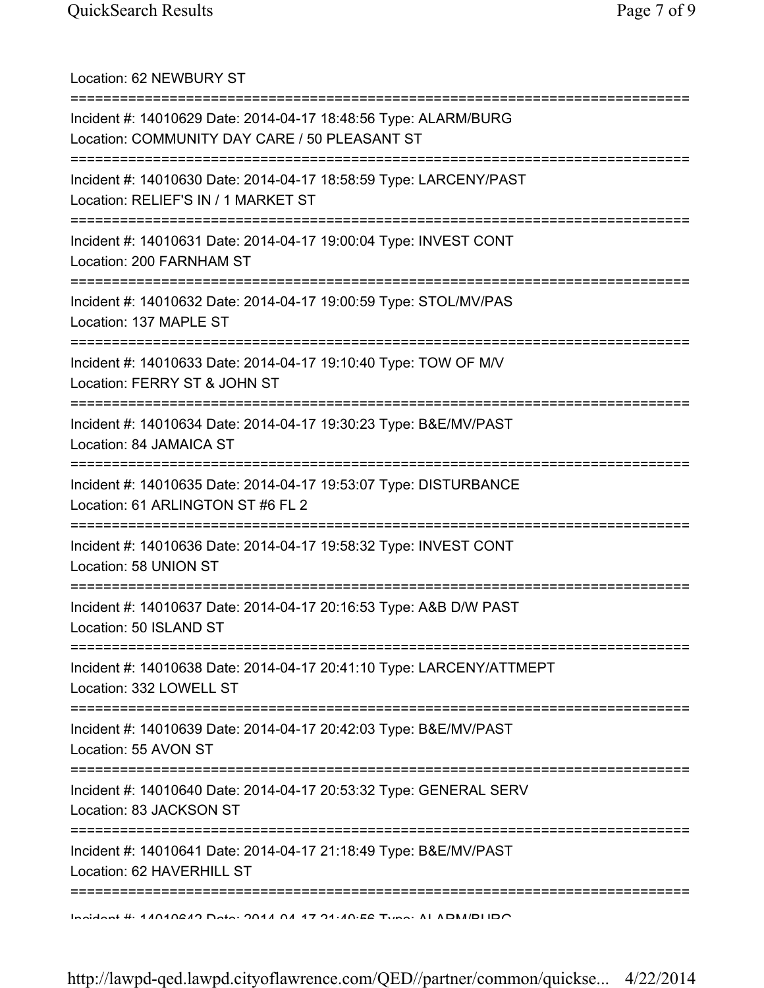| Location: 62 NEWBURY ST                                                                                                                                 |
|---------------------------------------------------------------------------------------------------------------------------------------------------------|
| Incident #: 14010629 Date: 2014-04-17 18:48:56 Type: ALARM/BURG<br>Location: COMMUNITY DAY CARE / 50 PLEASANT ST<br>=================================== |
| Incident #: 14010630 Date: 2014-04-17 18:58:59 Type: LARCENY/PAST<br>Location: RELIEF'S IN / 1 MARKET ST                                                |
| Incident #: 14010631 Date: 2014-04-17 19:00:04 Type: INVEST CONT<br>Location: 200 FARNHAM ST<br>=====================================                   |
| Incident #: 14010632 Date: 2014-04-17 19:00:59 Type: STOL/MV/PAS<br>Location: 137 MAPLE ST                                                              |
| ================================<br>Incident #: 14010633 Date: 2014-04-17 19:10:40 Type: TOW OF M/V<br>Location: FERRY ST & JOHN ST                     |
| Incident #: 14010634 Date: 2014-04-17 19:30:23 Type: B&E/MV/PAST<br>Location: 84 JAMAICA ST                                                             |
| Incident #: 14010635 Date: 2014-04-17 19:53:07 Type: DISTURBANCE<br>Location: 61 ARLINGTON ST #6 FL 2                                                   |
| Incident #: 14010636 Date: 2014-04-17 19:58:32 Type: INVEST CONT<br>Location: 58 UNION ST                                                               |
| Incident #: 14010637 Date: 2014-04-17 20:16:53 Type: A&B D/W PAST<br>Location: 50 ISLAND ST                                                             |
| Incident #: 14010638 Date: 2014-04-17 20:41:10 Type: LARCENY/ATTMEPT<br>Location: 332 LOWELL ST                                                         |
| Incident #: 14010639 Date: 2014-04-17 20:42:03 Type: B&E/MV/PAST<br>Location: 55 AVON ST                                                                |
| Incident #: 14010640 Date: 2014-04-17 20:53:32 Type: GENERAL SERV<br>Location: 83 JACKSON ST                                                            |
| =====================<br>Incident #: 14010641 Date: 2014-04-17 21:18:49 Type: B&E/MV/PAST<br>Location: 62 HAVERHILL ST                                  |
| <b>Individual 4. ANDADRAD Data: ORAN DA AT DA ARDE Tunner AL ADMADI IDO</b>                                                                             |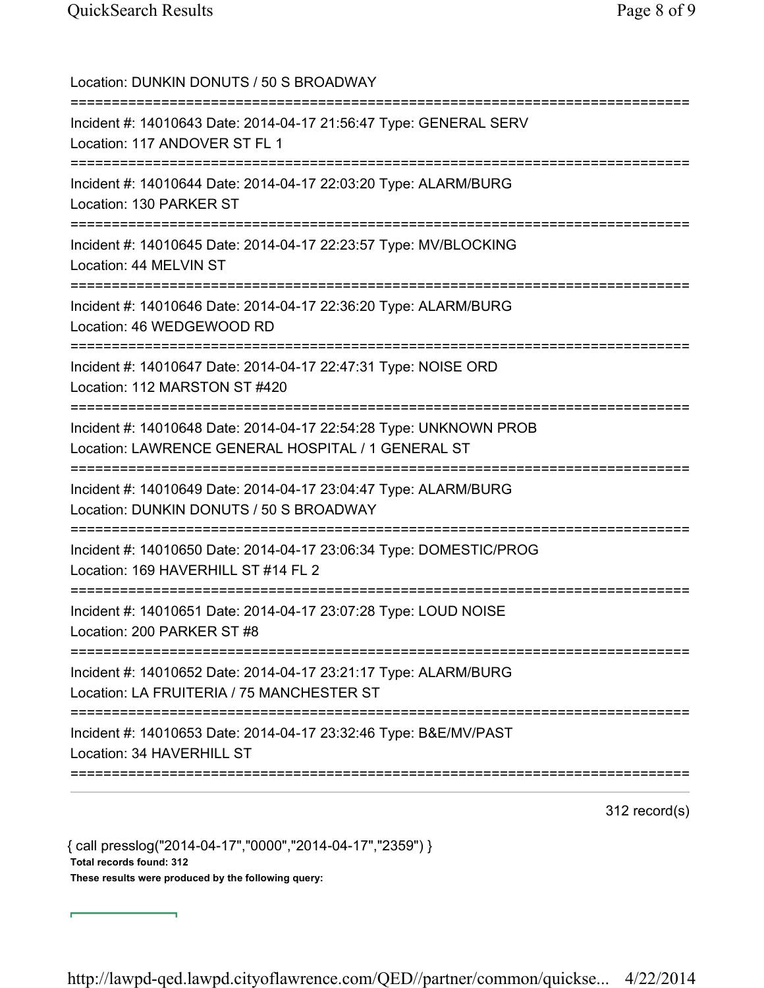Location: DUNKIN DONUTS / 50 S BROADWAY =========================================================================== Incident #: 14010643 Date: 2014-04-17 21:56:47 Type: GENERAL SERV Location: 117 ANDOVER ST FL 1 =========================================================================== Incident #: 14010644 Date: 2014-04-17 22:03:20 Type: ALARM/BURG Location: 130 PARKER ST =========================================================================== Incident #: 14010645 Date: 2014-04-17 22:23:57 Type: MV/BLOCKING Location: 44 MELVIN ST =========================================================================== Incident #: 14010646 Date: 2014-04-17 22:36:20 Type: ALARM/BURG Location: 46 WEDGEWOOD RD =========================================================================== Incident #: 14010647 Date: 2014-04-17 22:47:31 Type: NOISE ORD Location: 112 MARSTON ST #420 =========================================================================== Incident #: 14010648 Date: 2014-04-17 22:54:28 Type: UNKNOWN PROB Location: LAWRENCE GENERAL HOSPITAL / 1 GENERAL ST =========================================================================== Incident #: 14010649 Date: 2014-04-17 23:04:47 Type: ALARM/BURG Location: DUNKIN DONUTS / 50 S BROADWAY =========================================================================== Incident #: 14010650 Date: 2014-04-17 23:06:34 Type: DOMESTIC/PROG Location: 169 HAVERHILL ST #14 FL 2 =========================================================================== Incident #: 14010651 Date: 2014-04-17 23:07:28 Type: LOUD NOISE Location: 200 PARKER ST #8 =========================================================================== Incident #: 14010652 Date: 2014-04-17 23:21:17 Type: ALARM/BURG Location: LA FRUITERIA / 75 MANCHESTER ST =========================================================================== Incident #: 14010653 Date: 2014-04-17 23:32:46 Type: B&E/MV/PAST Location: 34 HAVERHILL ST ===========================================================================

312 record(s)

{ call presslog("2014-04-17","0000","2014-04-17","2359") } Total records found: 312 These results were produced by the following query: